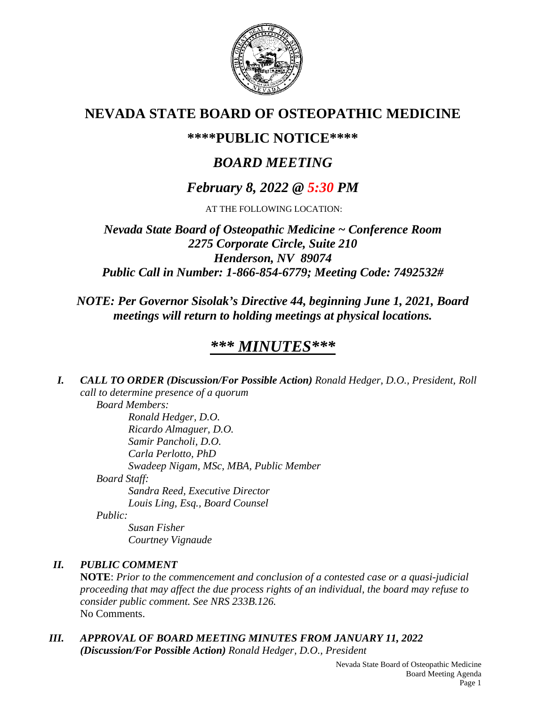

# **NEVADA STATE BOARD OF OSTEOPATHIC MEDICINE**

# **\*\*\*\*PUBLIC NOTICE\*\*\*\***

# *BOARD MEETING*

# *February 8, 2022 @ 5:30 PM*

AT THE FOLLOWING LOCATION:

*Nevada State Board of Osteopathic Medicine ~ Conference Room 2275 Corporate Circle, Suite 210 Henderson, NV 89074 Public Call in Number: 1-866-854-6779; Meeting Code: 7492532#*

## *NOTE: Per Governor Sisolak's Directive 44, beginning June 1, 2021, Board meetings will return to holding meetings at physical locations.*

# *\*\*\* MINUTES\*\*\**

*I. CALL TO ORDER (Discussion/For Possible Action) Ronald Hedger, D.O., President, Roll call to determine presence of a quorum Board Members:*

*Ronald Hedger, D.O. Ricardo Almaguer, D.O. Samir Pancholi, D.O. Carla Perlotto, PhD Swadeep Nigam, MSc, MBA, Public Member Board Staff: Sandra Reed, Executive Director Louis Ling, Esq., Board Counsel*

*Public:*

*Susan Fisher Courtney Vignaude*

## *II. PUBLIC COMMENT*

**NOTE**: *Prior to the commencement and conclusion of a contested case or a quasi-judicial proceeding that may affect the due process rights of an individual, the board may refuse to consider public comment. See NRS 233B.126.* No Comments.

*III. APPROVAL OF BOARD MEETING MINUTES FROM JANUARY 11, 2022 (Discussion/For Possible Action) Ronald Hedger, D.O., President*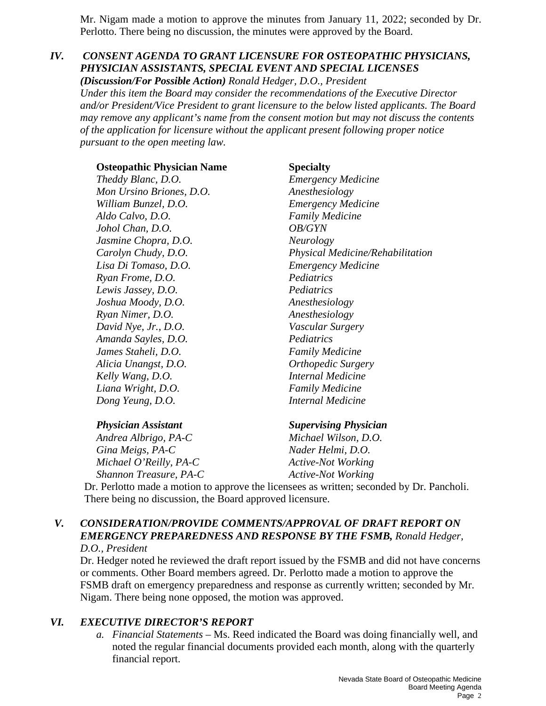Mr. Nigam made a motion to approve the minutes from January 11, 2022; seconded by Dr. Perlotto. There being no discussion, the minutes were approved by the Board.

## *IV. CONSENT AGENDA TO GRANT LICENSURE FOR OSTEOPATHIC PHYSICIANS, PHYSICIAN ASSISTANTS, SPECIAL EVENT AND SPECIAL LICENSES*

*(Discussion/For Possible Action) Ronald Hedger, D.O., President Under this item the Board may consider the recommendations of the Executive Director and/or President/Vice President to grant licensure to the below listed applicants. The Board may remove any applicant's name from the consent motion but may not discuss the contents of the application for licensure without the applicant present following proper notice pursuant to the open meeting law.*

**Osteopathic Physician Name Specialty** *Theddy Blanc, D.O. Emergency Medicine Mon Ursino Briones, D.O. Anesthesiology William Bunzel, D.O. Emergency Medicine Aldo Calvo, D.O. Family Medicine Johol Chan, D.O. OB/GYN Jasmine Chopra, D.O.* Neurology *Lisa Di Tomaso, D.O. Emergency Medicine Ryan Frome, D.O. Pediatrics Lewis Jassey, D.O. Pediatrics Joshua Moody, D.O. Anesthesiology Ryan Nimer, D.O. Anesthesiology David Nye, Jr., D.O. Vascular Surgery Amanda Sayles, D.O. Pediatrics James Staheli, D.O. Family Medicine Alicia Unangst, D.O. Orthopedic Surgery Kelly Wang, D.O. Internal Medicine Liana Wright, D.O. Family Medicine Dong Yeung, D.O. Internal Medicine*

*Carolyn Chudy, D.O. Physical Medicine/Rehabilitation*

### *Physician Assistant Supervising Physician*

*Andrea Albrigo, PA-C Michael Wilson, D.O. Gina Meigs, PA-C Nader Helmi, D.O. Michael O'Reilly, PA-C* Active-Not Working *Shannon Treasure, PA-C* Active-Not Working

Dr. Perlotto made a motion to approve the licensees as written; seconded by Dr. Pancholi. There being no discussion, the Board approved licensure.

### *V. CONSIDERATION/PROVIDE COMMENTS/APPROVAL OF DRAFT REPORT ON EMERGENCY PREPAREDNESS AND RESPONSE BY THE FSMB, Ronald Hedger, D.O., President*

Dr. Hedger noted he reviewed the draft report issued by the FSMB and did not have concerns or comments. Other Board members agreed. Dr. Perlotto made a motion to approve the FSMB draft on emergency preparedness and response as currently written; seconded by Mr. Nigam. There being none opposed, the motion was approved.

## *VI. EXECUTIVE DIRECTOR'S REPORT*

*a. Financial Statements* – Ms. Reed indicated the Board was doing financially well, and noted the regular financial documents provided each month, along with the quarterly financial report.